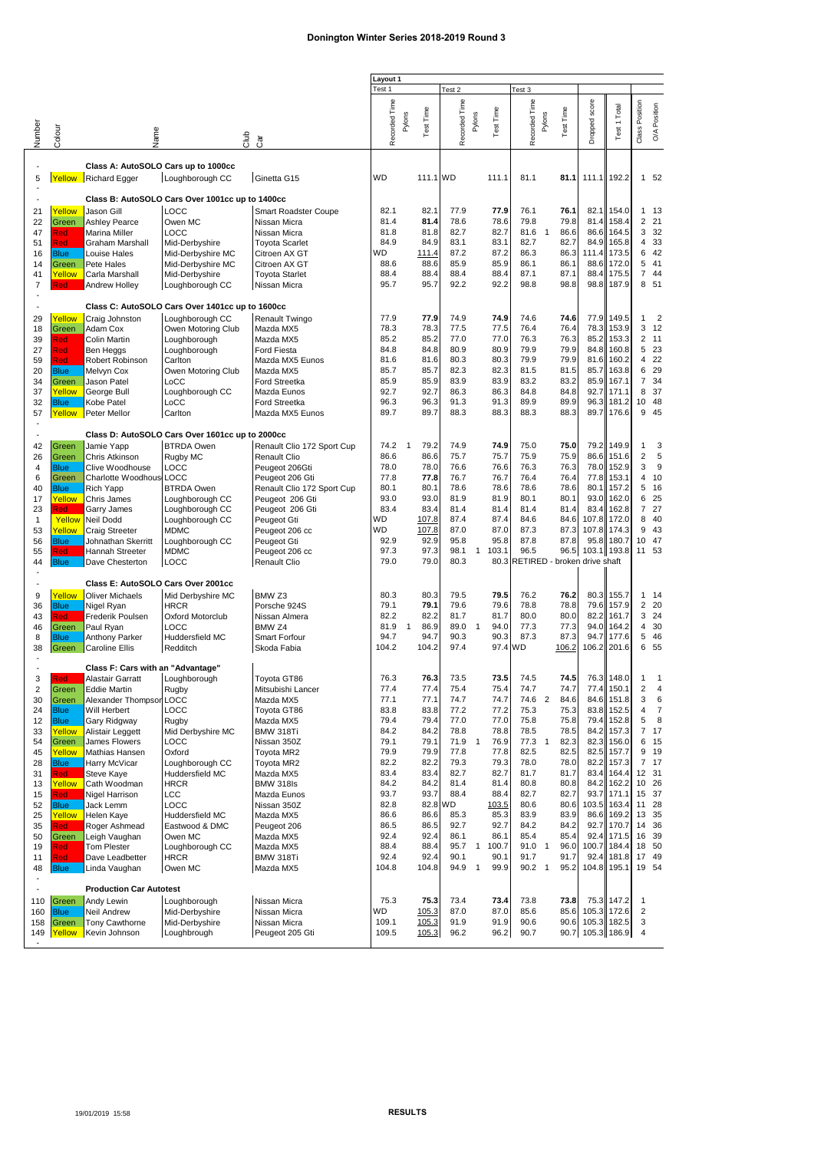## **Donington Winter Series 2018-2019 Round 3**

|                                     |                      |                                      |                                                 |                                               | Layout 1      |                |               |               |                |                  |                              |                |              |                  |                |                     |                |
|-------------------------------------|----------------------|--------------------------------------|-------------------------------------------------|-----------------------------------------------|---------------|----------------|---------------|---------------|----------------|------------------|------------------------------|----------------|--------------|------------------|----------------|---------------------|----------------|
|                                     |                      |                                      |                                                 |                                               | Test 1        |                |               | Test 2        |                |                  | Test 3                       |                |              |                  |                |                     |                |
|                                     |                      |                                      |                                                 |                                               |               |                |               |               |                |                  |                              |                |              |                  |                |                     | Position       |
|                                     |                      |                                      |                                                 |                                               |               | Pylons         | Test Time     |               | Pylons         | <b>Test Time</b> |                              | Pylons         | Test Time    |                  |                |                     |                |
| Number                              | Colour               | Vame                                 | dub<br>G                                        |                                               | Recorded Time |                |               | Recorded Time |                |                  | Recorded Time                |                |              | Dropped score    | Test 1 Total   | Class Position      | ОÂ             |
|                                     |                      |                                      |                                                 | Cār                                           |               |                |               |               |                |                  |                              |                |              |                  |                |                     |                |
| Class A: AutoSOLO Cars up to 1000cc |                      |                                      |                                                 |                                               |               |                |               |               |                |                  |                              |                |              |                  |                |                     |                |
| ÷,<br>5                             |                      | Yellow Richard Egger                 | Loughborough CC                                 | Ginetta G15                                   | <b>WD</b>     |                | 111.1 WD      |               |                | 111.1            | 81.1                         |                | 81.1         | 111.1            | 192.2          |                     | 1 52           |
|                                     |                      |                                      |                                                 |                                               |               |                |               |               |                |                  |                              |                |              |                  |                |                     |                |
|                                     |                      |                                      | Class B: AutoSOLO Cars Over 1001cc up to 1400cc |                                               |               |                |               |               |                |                  |                              |                |              |                  |                |                     |                |
| 21                                  | Yellow               | Jason Gill                           | LOCC                                            | Smart Roadster Coupe                          | 82.1          |                | 82.1          | 77.9          |                | 77.9             | 76.1                         |                | 76.1         | 82.1             | 154.0          |                     | 1 13           |
| 22                                  | Green                | <b>Ashley Pearce</b>                 | Owen MC                                         | Nissan Micra                                  | 81.4          |                | 81.4          | 78.6          |                | 78.6             | 79.8                         |                | 79.8         | 81.4             | 158.4          |                     | 221            |
| 47                                  | Red                  | Marina Miller                        | LOCC                                            | Nissan Micra                                  | 81.8          |                | 81.8          | 82.7          |                | 82.7             | 81.6                         | $\mathbf{1}$   | 86.6         | 86.6             | 164.5          | 3                   | 32             |
| 51                                  | Red                  | Graham Marshall                      | Mid-Derbyshire                                  | <b>Toyota Scarlet</b>                         | 84.9<br>WD    |                | 84.9          | 83.1<br>87.2  |                | 83.1<br>87.2     | 82.7<br>86.3                 |                | 82.7         | 84.9             | 165.8          | 6                   | 4 33<br>42     |
| 16<br>14                            | <b>Blue</b><br>Green | Louise Hales<br>Pete Hales           | Mid-Derbyshire MC<br>Mid-Derbyshire MC          | Citroen AX GT<br>Citroen AX GT                | 88.6          |                | 111.4<br>88.6 | 85.9          |                | 85.9             | 86.1                         |                | 86.3<br>86.1 | 111.4<br>88.6    | 173.5<br>172.0 |                     | 5 41           |
| 41                                  | Yellow               | Carla Marshall                       | Mid-Derbyshire                                  | <b>Toyota Starlet</b>                         | 88.4          |                | 88.4          | 88.4          |                | 88.4             | 87.1                         |                | 87.1         | 88.4             | 175.5          |                     | 7 44           |
| 7                                   | <b>Red</b>           | Andrew Holley                        | Loughborough CC                                 | Nissan Micra                                  | 95.7          |                | 95.7          | 92.2          |                | 92.2             | 98.8                         |                | 98.8         | 98.8             | 187.9          |                     | 8 51           |
| $\overline{\phantom{a}}$            |                      |                                      |                                                 |                                               |               |                |               |               |                |                  |                              |                |              |                  |                |                     |                |
| $\overline{\phantom{a}}$            |                      |                                      | Class C: AutoSOLO Cars Over 1401cc up to 1600cc |                                               |               |                |               |               |                |                  |                              |                |              |                  |                |                     |                |
| 29                                  | Yellow               | Craig Johnston                       | Loughborough CC                                 | Renault Twingo                                | 77.9          |                | 77.9          | 74.9          |                | 74.9             | 74.6                         |                | 74.6         | 77.9             | 149.5          | 1                   | $\overline{2}$ |
| 18                                  | Green                | Adam Cox                             | Owen Motoring Club                              | Mazda MX5                                     | 78.3          |                | 78.3          | 77.5          |                | 77.5             | 76.4                         |                | 76.4         | 78.3             | 153.9          | 3                   | 12             |
| 39                                  | Red                  | Colin Martin                         | Loughborough                                    | Mazda MX5                                     | 85.2          |                | 85.2          | 77.0          |                | 77.0             | 76.3                         |                | 76.3         | 85.2             | 153.3          |                     | 2, 11          |
| 27                                  | Red                  | Ben Heggs                            | Loughborough                                    | <b>Ford Fiesta</b><br>Mazda MX5 Eunos         | 84.8          |                | 84.8<br>81.6  | 80.9<br>80.3  |                | 80.9<br>80.3     | 79.9<br>79.9                 |                | 79.9<br>79.9 | 84.8             | 160.8<br>160.2 | 4                   | 5 23<br>22     |
| 59<br>20                            | Red<br><b>Blue</b>   | Robert Robinson<br>Melvyn Cox        | Carlton<br>Owen Motoring Club                   | Mazda MX5                                     | 81.6<br>85.7  |                | 85.7          | 82.3          |                | 82.3             | 81.5                         |                | 81.5         | 81.6<br>85.7     | 163.8          | 6                   | 29             |
| 34                                  | Green                | Jason Patel                          | LoCC                                            | <b>Ford Streetka</b>                          | 85.9          |                | 85.9          | 83.9          |                | 83.9             | 83.2                         |                | 83.2         | 85.9             | 167.1          |                     | 7 34           |
| 37                                  | Yellow               | George Bull                          | Loughborough CC                                 | Mazda Eunos                                   | 92.7          |                | 92.7          | 86.3          |                | 86.3             | 84.8                         |                | 84.8         | 92.7             | 171.1          |                     | 8 37           |
| 32                                  | <b>Blue</b>          | Kobe Patel                           | LoCC                                            | <b>Ford Streetka</b>                          | 96.3          |                | 96.3          | 91.3          |                | 91.3             | 89.9                         |                | 89.9         | 96.3             | 181.2          |                     | 10 48          |
| 57                                  | Yellow               | Peter Mellor                         | Carlton                                         | Mazda MX5 Eunos                               | 89.7          |                | 89.7          | 88.3          |                | 88.3             | 88.3                         |                | 88.3         | 89.7             | 176.6          |                     | 9 45           |
|                                     |                      |                                      |                                                 |                                               |               |                |               |               |                |                  |                              |                |              |                  |                |                     |                |
| $\overline{\phantom{a}}$            |                      |                                      | Class D: AutoSOLO Cars Over 1601cc up to 2000cc |                                               |               |                |               |               |                |                  |                              |                |              |                  |                |                     |                |
| 42                                  | Green                | Jamie Yapp                           | <b>BTRDA Owen</b>                               | Renault Clio 172 Sport Cup                    | 74.2          | $\overline{1}$ | 79.2          | 74.9          |                | 74.9             | 75.0                         |                | 75.0         | 79.2             | 149.9          | $\mathbf{1}$        | 3              |
| 26                                  | Green                | Chris Atkinson                       | Rugby MC                                        | Renault Clio                                  | 86.6          |                | 86.6          | 75.7          |                | 75.7             | 75.9                         |                | 75.9         | 86.6             | 151.6          | 2                   | 5              |
| $\overline{\mathbf{4}}$             | <b>Blue</b>          | Clive Woodhouse                      | LOCC                                            | Peugeot 206Gti                                | 78.0<br>77.8  |                | 78.0<br>77.8  | 76.6<br>76.7  |                | 76.6<br>76.7     | 76.3<br>76.4                 |                | 76.3<br>76.4 | 78.0<br>77.8     | 152.9<br>153.1 | 3<br>$\overline{4}$ | 9<br>10        |
| 6<br>40                             | Green<br><b>Blue</b> | Charlotte Woodhous LOCC<br>Rich Yapp | <b>BTRDA Owen</b>                               | Peugeot 206 Gti<br>Renault Clio 172 Sport Cup | 80.1          |                | 80.1          | 78.6          |                | 78.6             | 78.6                         |                | 78.6         | 80.1             | 157.2          | 5                   | 16             |
| 17                                  | Yellow               | Chris James                          | Loughborough CC                                 | Peugeot 206 Gti                               | 93.0          |                | 93.0          | 81.9          |                | 81.9             | 80.1                         |                | 80.1         | 93.0             | 162.0          | 6                   | 25             |
| 23                                  | Red:                 | Garry James                          | Loughborough CC                                 | Peugeot 206 Gti                               | 83.4          |                | 83.4          | 81.4          |                | 81.4             | 81.4                         |                | 81.4         | 83.4             | 162.8          |                     | 7 27           |
| $\mathbf{1}$                        | Yellow               | Neil Dodd                            | Loughborough CC                                 | Peugeot Gti                                   | <b>WD</b>     |                | 107.8         | 87.4          |                | 87.4             | 84.6                         |                | 84.6         | 107.8            | 172.0          | 8                   | 40             |
| 53                                  | Yellow               | Craig Streeter                       | <b>MDMC</b>                                     | Peugeot 206 cc                                | WD            |                | 107.8         | 87.0          |                | 87.0             | 87.3                         |                | 87.3         | 107.8            | 174.3          |                     | 9 43           |
| 56                                  | <b>Blue</b>          | Johnathan Skerritt                   | Loughborough CC                                 | Peugeot Gti                                   | 92.9          |                | 92.9          | 95.8          |                | 95.8             | 87.8                         |                | 87.8         | 95.8             | 180.7          |                     | 10 47          |
| 55                                  | Red                  | Hannah Streeter                      | <b>MDMC</b>                                     | Peugeot 206 cc                                | 97.3          |                | 97.3          | 98.1          | $\mathbf{1}$   | 103.1            | 96.5                         |                | 96.5         | 103.1            | 193.8          |                     | 11 53          |
| 44                                  | <b>Blue</b>          | Dave Chesterton                      | LOCC                                            | <b>Renault Clio</b>                           | 79.0          |                | 79.0          | 80.3          |                | 80.3             | RETIRED - broken drive shaft |                |              |                  |                |                     |                |
| $\overline{\phantom{a}}$            |                      | Class E: AutoSOLO Cars Over 2001cc   |                                                 |                                               |               |                |               |               |                |                  |                              |                |              |                  |                |                     |                |
| 9                                   | Yellow               | <b>Oliver Michaels</b>               | Mid Derbyshire MC                               | BMW <sub>Z3</sub>                             | 80.3          |                | 80.3          | 79.5          |                | 79.5             | 76.2                         |                | 76.2         | 80.3             | 155.7          |                     | 1 14           |
| 36                                  | <b>Blue</b>          | Nigel Ryan                           | <b>HRCR</b>                                     | Porsche 924S                                  | 79.1          |                | 79.1          | 79.6          |                | 79.6             | 78.8                         |                | 78.8         | 79.6             | 157.9          |                     | 2 20           |
| 43                                  | <b>Red</b>           | Frederik Poulsen                     | <b>Oxford Motorclub</b>                         | Nissan Almera                                 | 82.2          |                | 82.2          | 81.7          |                | 81.7             | 80.0                         |                | 80.0         | 82.2             | 161.7          |                     | 3 24           |
| 46                                  | Green                | Paul Ryan                            | LOCC                                            | BMW Z4                                        | 81.9          | $\overline{1}$ | 86.9          | 89.0          | $\mathbf{1}$   | 94.0             | 77.3                         |                | 77.3         | 94.0             | 164.2          |                     | 4 30           |
| 8                                   | <b>Blue</b>          | Anthony Parker                       | Huddersfield MC                                 | Smart Forfour                                 | 94.7          |                | 94.7          | 90.3          |                | 90.3             | 87.3                         |                | 87.3         | 94.7             | 177.6          |                     | 5 46           |
| 38                                  | Green                | <b>Caroline Ellis</b>                | Redditch                                        | Skoda Fabia                                   | 104.2         |                | 104.2         | 97.4          |                | 97.4             | WD                           |                | 106.2        | 106.2            | 201.6          | 6                   | 55             |
| $\overline{\phantom{a}}$            |                      | Class F: Cars with an "Advantage"    |                                                 |                                               |               |                |               |               |                |                  |                              |                |              |                  |                |                     |                |
| 3                                   | Red                  | Alastair Garratt                     | Loughborough                                    | Toyota GT86                                   | 76.3          |                | 76.3          | 73.5          |                | 73.5             | 74.5                         |                | 74.5         | 76.3             | 148.0          | 1                   |                |
| 2                                   | Green                | Eddie Martin                         | Rugby                                           | Mitsubishi Lancer                             | 77.4          |                | 77.4          | 75.4          |                | 75.4             | 74.7                         |                | 74.7         |                  | 77.4 150.1     | 2                   | 4              |
| 30                                  | Green                | Alexander Thompson LOCC              |                                                 | Mazda MX5                                     | 77.1          |                | 77.1          | 74.7          |                | 74.7             | 74.6 2                       |                | 84.6         | 84.6             | 151.8          | 3                   | 6              |
| 24                                  | <b>Blue</b>          | Will Herbert                         | LOCC                                            | Toyota GT86                                   | 83.8          |                | 83.8          | 77.2          |                | 77.2             | 75.3                         |                | 75.3         | 83.8             | 152.5          | 4                   | 7              |
| 12                                  | <b>Blue</b>          | Gary Ridgway                         | Rugby                                           | Mazda MX5                                     | 79.4          |                | 79.4          | 77.0          |                | 77.0             | 75.8                         |                | 75.8         | 79.4             | 152.8          | 5                   | 8              |
| 33                                  | Yellow               | Alistair Leggett                     | Mid Derbyshire MC                               | BMW 318Ti                                     | 84.2          |                | 84.2          | 78.8          |                | 78.8<br>76.9     | 78.5                         |                | 78.5         | 84.2<br>82.3     | 157.3          |                     | 7 17           |
| 54<br>45                            | Green<br>Yellow      | James Flowers<br>Mathias Hansen      | LOCC<br>Oxford                                  | Nissan 350Z<br>Toyota MR2                     | 79.1<br>79.9  |                | 79.1<br>79.9  | 71.9<br>77.8  | $\mathbf{1}$   | 77.8             | 77.3<br>82.5                 | $\mathbf{1}$   | 82.3<br>82.5 | 82.5             | 156.0<br>157.7 |                     | 6 15<br>9 19   |
| 28                                  | <b>Blue</b>          | Harry McVicar                        | Loughborough CC                                 | Toyota MR2                                    | 82.2          |                | 82.2          | 79.3          |                | 79.3             | 78.0                         |                | 78.0         | 82.2             | 157.3          |                     | 7 17           |
| 31                                  | Red                  | Steve Kaye                           | Huddersfield MC                                 | Mazda MX5                                     | 83.4          |                | 83.4          | 82.7          |                | 82.7             | 81.7                         |                | 81.7         | 83.4             | 164.4          |                     | 12 31          |
| 13                                  | Yellow               | Cath Woodman                         | <b>HRCR</b>                                     | <b>BMW 318ls</b>                              | 84.2          |                | 84.2          | 81.4          |                | 81.4             | 80.8                         |                | 80.8         | 84.2             | 162.2          |                     | 10 26          |
| 15                                  | Red                  | Nigel Harrison                       | LCC                                             | Mazda Eunos                                   | 93.7          |                | 93.7          | 88.4          |                | 88.4             | 82.7                         |                | 82.7         | 93.7             | 171.1          |                     | 15 37          |
| 52                                  | <b>Blue</b>          | Jack Lemm                            | LOCC                                            | Nissan 350Z                                   | 82.8          |                | 82.8 WD       |               |                | 103.5            | 80.6                         |                | 80.6         |                  | 103.5 163.4    |                     | 11 28          |
| 25                                  | Yellow               | Helen Kaye                           | Huddersfield MC                                 | Mazda MX5                                     | 86.6          |                | 86.6          | 85.3          |                | 85.3             | 83.9                         |                | 83.9         | 86.6             | 169.2          |                     | 13 35          |
| 35                                  | <b>Red</b>           | Roger Ashmead                        | Eastwood & DMC                                  | Peugeot 206                                   | 86.5          |                | 86.5          | 92.7          |                | 92.7             | 84.2                         |                | 84.2         | 92.7             | 170.7          |                     | 14 36          |
| 50<br>19                            | Green<br>Red         | Leigh Vaughan<br><b>Tom Plester</b>  | Owen MC<br>Loughborough CC                      | Mazda MX5<br>Mazda MX5                        | 92.4<br>88.4  |                | 92.4<br>88.4  | 86.1<br>95.7  | $\mathbf{1}$   | 86.1<br>100.7    | 85.4<br>91.0                 | $\overline{1}$ | 85.4<br>96.0 | 92.4<br>100.7    | 171.5<br>184.4 |                     | 16 39<br>18 50 |
| 11                                  | Red                  | Dave Leadbetter                      | <b>HRCR</b>                                     | BMW 318Ti                                     | 92.4          |                | 92.4          | 90.1          |                | 90.1             | 91.7                         |                | 91.7         | 92.4             | 181.8          |                     | 17 49          |
| 48                                  | <b>Blue</b>          | Linda Vaughan                        | Owen MC                                         | Mazda MX5                                     | 104.8         |                | 104.8         | 94.9          | $\overline{1}$ | 99.9             | 90.2 1                       |                | 95.2         | 104.8            | 195.1          |                     | 19 54          |
|                                     |                      |                                      |                                                 |                                               |               |                |               |               |                |                  |                              |                |              |                  |                |                     |                |
| $\overline{\phantom{a}}$            |                      | <b>Production Car Autotest</b>       |                                                 |                                               |               |                |               |               |                |                  |                              |                |              |                  |                |                     |                |
| 110                                 | Green                | Andy Lewin                           | Loughborough                                    | Nissan Micra                                  | 75.3          |                | 75.3          | 73.4          |                | 73.4             | 73.8                         |                | 73.8         |                  | 75.3 147.2     | 1                   |                |
| 160                                 | <b>Blue</b>          | Neil Andrew                          | Mid-Derbyshire                                  | Nissan Micra                                  | WD            |                | 105.3         | 87.0          |                | 87.0             | 85.6                         |                | 85.6         |                  | 105.3 172.6    | 2                   |                |
| 158                                 | Green                | Tony Cawthorne                       | Mid-Derbyshire                                  | Nissan Micra                                  | 109.1         |                | 105.3         | 91.9          |                | 91.9             | 90.6                         |                | 90.6         |                  | 105.3 182.5    | 3<br>$\overline{4}$ |                |
| 149                                 | Yellow               | Kevin Johnson                        | Loughbrough                                     | Peugeot 205 Gti                               | 109.5         |                | 105.3         | 96.2          |                | 96.2             | 90.7                         |                |              | 90.7 105.3 186.9 |                |                     |                |